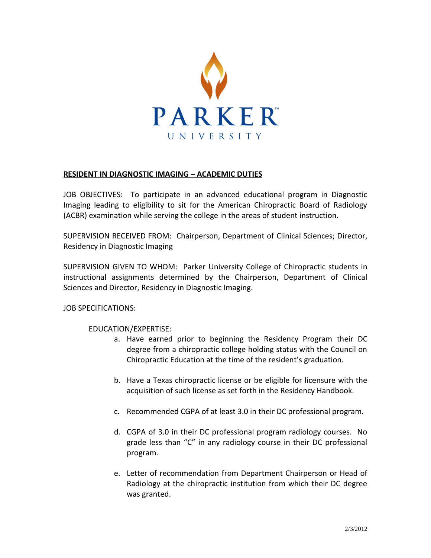

## **RESIDENT IN DIAGNOSTIC IMAGING – ACADEMIC DUTIES**

JOB OBJECTIVES: To participate in an advanced educational program in Diagnostic Imaging leading to eligibility to sit for the American Chiropractic Board of Radiology (ACBR) examination while serving the college in the areas of student instruction.

SUPERVISION RECEIVED FROM: Chairperson, Department of Clinical Sciences; Director, Residency in Diagnostic Imaging

SUPERVISION GIVEN TO WHOM: Parker University College of Chiropractic students in instructional assignments determined by the Chairperson, Department of Clinical Sciences and Director, Residency in Diagnostic Imaging.

JOB SPECIFICATIONS:

## EDUCATION/EXPERTISE:

- a. Have earned prior to beginning the Residency Program their DC degree from a chiropractic college holding status with the Council on Chiropractic Education at the time of the resident's graduation.
- b. Have a Texas chiropractic license or be eligible for licensure with the acquisition of such license as set forth in the Residency Handbook.
- c. Recommended CGPA of at least 3.0 in their DC professional program.
- d. CGPA of 3.0 in their DC professional program radiology courses. No grade less than "C" in any radiology course in their DC professional program.
- e. Letter of recommendation from Department Chairperson or Head of Radiology at the chiropractic institution from which their DC degree was granted.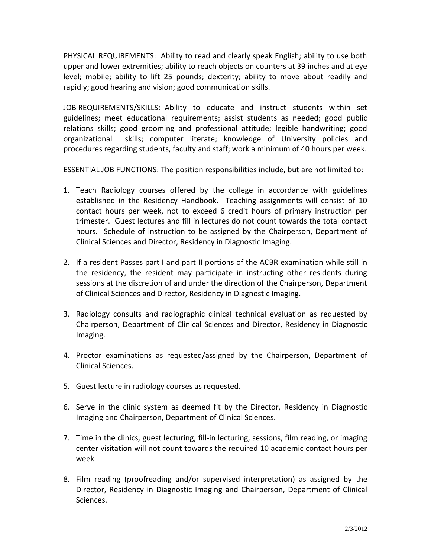PHYSICAL REQUIREMENTS: Ability to read and clearly speak English; ability to use both upper and lower extremities; ability to reach objects on counters at 39 inches and at eye level; mobile; ability to lift 25 pounds; dexterity; ability to move about readily and rapidly; good hearing and vision; good communication skills.

JOB REQUIREMENTS/SKILLS: Ability to educate and instruct students within set guidelines; meet educational requirements; assist students as needed; good public relations skills; good grooming and professional attitude; legible handwriting; good organizational skills; computer literate; knowledge of University policies and procedures regarding students, faculty and staff; work a minimum of 40 hours per week.

ESSENTIAL JOB FUNCTIONS: The position responsibilities include, but are not limited to:

- 1. Teach Radiology courses offered by the college in accordance with guidelines established in the Residency Handbook. Teaching assignments will consist of 10 contact hours per week, not to exceed 6 credit hours of primary instruction per trimester. Guest lectures and fill in lectures do not count towards the total contact hours. Schedule of instruction to be assigned by the Chairperson, Department of Clinical Sciences and Director, Residency in Diagnostic Imaging.
- 2. If a resident Passes part I and part II portions of the ACBR examination while still in the residency, the resident may participate in instructing other residents during sessions at the discretion of and under the direction of the Chairperson, Department of Clinical Sciences and Director, Residency in Diagnostic Imaging.
- 3. Radiology consults and radiographic clinical technical evaluation as requested by Chairperson, Department of Clinical Sciences and Director, Residency in Diagnostic Imaging.
- 4. Proctor examinations as requested/assigned by the Chairperson, Department of Clinical Sciences.
- 5. Guest lecture in radiology courses as requested.
- 6. Serve in the clinic system as deemed fit by the Director, Residency in Diagnostic Imaging and Chairperson, Department of Clinical Sciences.
- 7. Time in the clinics, guest lecturing, fill-in lecturing, sessions, film reading, or imaging center visitation will not count towards the required 10 academic contact hours per week
- 8. Film reading (proofreading and/or supervised interpretation) as assigned by the Director, Residency in Diagnostic Imaging and Chairperson, Department of Clinical Sciences.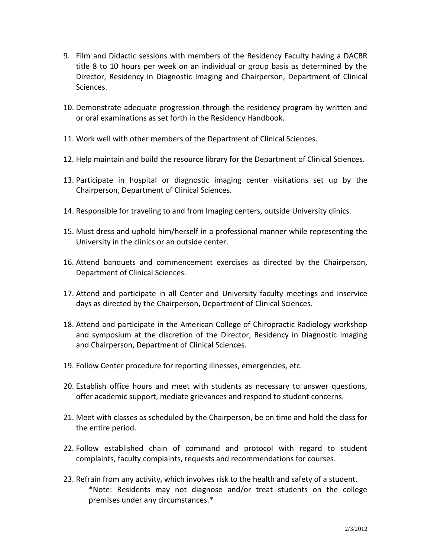- 9. Film and Didactic sessions with members of the Residency Faculty having a DACBR title 8 to 10 hours per week on an individual or group basis as determined by the Director, Residency in Diagnostic Imaging and Chairperson, Department of Clinical Sciences.
- 10. Demonstrate adequate progression through the residency program by written and or oral examinations as set forth in the Residency Handbook.
- 11. Work well with other members of the Department of Clinical Sciences.
- 12. Help maintain and build the resource library for the Department of Clinical Sciences.
- 13. Participate in hospital or diagnostic imaging center visitations set up by the Chairperson, Department of Clinical Sciences.
- 14. Responsible for traveling to and from Imaging centers, outside University clinics.
- 15. Must dress and uphold him/herself in a professional manner while representing the University in the clinics or an outside center.
- 16. Attend banquets and commencement exercises as directed by the Chairperson, Department of Clinical Sciences.
- 17. Attend and participate in all Center and University faculty meetings and inservice days as directed by the Chairperson, Department of Clinical Sciences.
- 18. Attend and participate in the American College of Chiropractic Radiology workshop and symposium at the discretion of the Director, Residency in Diagnostic Imaging and Chairperson, Department of Clinical Sciences.
- 19. Follow Center procedure for reporting illnesses, emergencies, etc.
- 20. Establish office hours and meet with students as necessary to answer questions, offer academic support, mediate grievances and respond to student concerns.
- 21. Meet with classes as scheduled by the Chairperson, be on time and hold the class for the entire period.
- 22. Follow established chain of command and protocol with regard to student complaints, faculty complaints, requests and recommendations for courses.
- 23. Refrain from any activity, which involves risk to the health and safety of a student. \*Note: Residents may not diagnose and/or treat students on the college premises under any circumstances.\*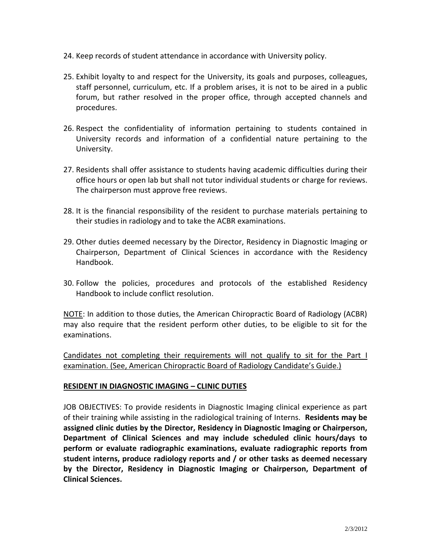- 24. Keep records of student attendance in accordance with University policy.
- 25. Exhibit loyalty to and respect for the University, its goals and purposes, colleagues, staff personnel, curriculum, etc. If a problem arises, it is not to be aired in a public forum, but rather resolved in the proper office, through accepted channels and procedures.
- 26. Respect the confidentiality of information pertaining to students contained in University records and information of a confidential nature pertaining to the University.
- 27. Residents shall offer assistance to students having academic difficulties during their office hours or open lab but shall not tutor individual students or charge for reviews. The chairperson must approve free reviews.
- 28. It is the financial responsibility of the resident to purchase materials pertaining to their studies in radiology and to take the ACBR examinations.
- 29. Other duties deemed necessary by the Director, Residency in Diagnostic Imaging or Chairperson, Department of Clinical Sciences in accordance with the Residency Handbook.
- 30. Follow the policies, procedures and protocols of the established Residency Handbook to include conflict resolution.

NOTE: In addition to those duties, the American Chiropractic Board of Radiology (ACBR) may also require that the resident perform other duties, to be eligible to sit for the examinations.

Candidates not completing their requirements will not qualify to sit for the Part I examination. (See, American Chiropractic Board of Radiology Candidate's Guide.)

## **RESIDENT IN DIAGNOSTIC IMAGING – CLINIC DUTIES**

JOB OBJECTIVES: To provide residents in Diagnostic Imaging clinical experience as part of their training while assisting in the radiological training of Interns. **Residents may be assigned clinic duties by the Director, Residency in Diagnostic Imaging or Chairperson, Department of Clinical Sciences and may include scheduled clinic hours/days to perform or evaluate radiographic examinations, evaluate radiographic reports from student interns, produce radiology reports and / or other tasks as deemed necessary by the Director, Residency in Diagnostic Imaging or Chairperson, Department of Clinical Sciences.**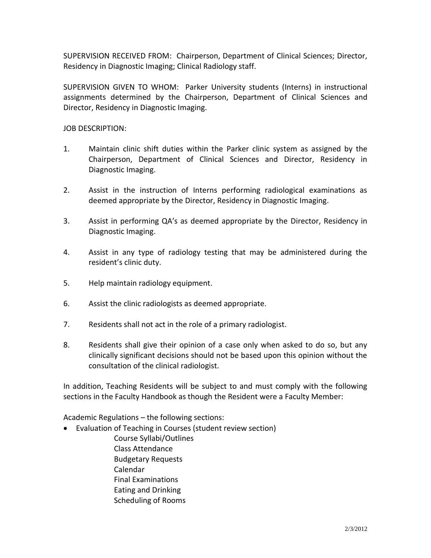SUPERVISION RECEIVED FROM: Chairperson, Department of Clinical Sciences; Director, Residency in Diagnostic Imaging; Clinical Radiology staff.

SUPERVISION GIVEN TO WHOM: Parker University students (Interns) in instructional assignments determined by the Chairperson, Department of Clinical Sciences and Director, Residency in Diagnostic Imaging.

JOB DESCRIPTION:

- 1. Maintain clinic shift duties within the Parker clinic system as assigned by the Chairperson, Department of Clinical Sciences and Director, Residency in Diagnostic Imaging.
- 2. Assist in the instruction of Interns performing radiological examinations as deemed appropriate by the Director, Residency in Diagnostic Imaging.
- 3. Assist in performing QA's as deemed appropriate by the Director, Residency in Diagnostic Imaging.
- 4. Assist in any type of radiology testing that may be administered during the resident's clinic duty.
- 5. Help maintain radiology equipment.
- 6. Assist the clinic radiologists as deemed appropriate.
- 7. Residents shall not act in the role of a primary radiologist.
- 8. Residents shall give their opinion of a case only when asked to do so, but any clinically significant decisions should not be based upon this opinion without the consultation of the clinical radiologist.

In addition, Teaching Residents will be subject to and must comply with the following sections in the Faculty Handbook as though the Resident were a Faculty Member:

Academic Regulations – the following sections:

- Evaluation of Teaching in Courses (student review section)
	- Course Syllabi/Outlines Class Attendance Budgetary Requests Calendar Final Examinations Eating and Drinking Scheduling of Rooms